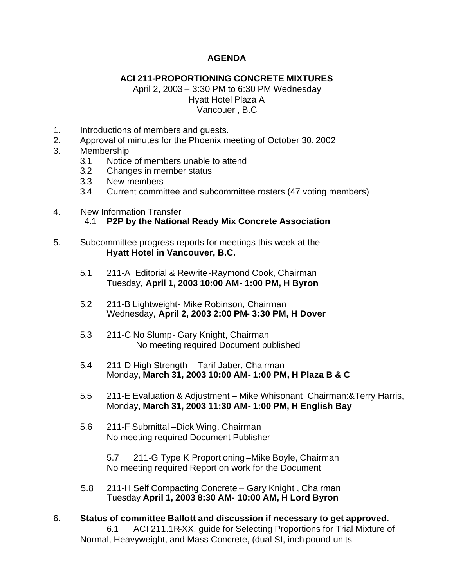## **AGENDA**

## **ACI 211-PROPORTIONING CONCRETE MIXTURES**

April 2, 2003 – 3:30 PM to 6:30 PM Wednesday Hyatt Hotel Plaza A Vancouer , B.C

- 1. Introductions of members and guests.
- 2. Approval of minutes for the Phoenix meeting of October 30, 2002
- 3. Membership
	- 3.1 Notice of members unable to attend
	- 3.2 Changes in member status
	- 3.3 New members
	- 3.4 Current committee and subcommittee rosters (47 voting members)
- 4. New Information Transfer

## 4.1 **P2P by the National Ready Mix Concrete Association**

- 5. Subcommittee progress reports for meetings this week at the  **Hyatt Hotel in Vancouver, B.C.**
	- 5.1 211-A Editorial & Rewrite-Raymond Cook, Chairman Tuesday, **April 1, 2003 10:00 AM- 1:00 PM, H Byron**
	- 5.2 211-B Lightweight- Mike Robinson, Chairman Wednesday, **April 2, 2003 2:00 PM- 3:30 PM, H Dover**
	- 5.3 211-C No Slump- Gary Knight, Chairman No meeting required Document published
	- 5.4 211-D High Strength Tarif Jaber, Chairman Monday, **March 31, 2003 10:00 AM- 1:00 PM, H Plaza B & C**
	- 5.5 211-E Evaluation & Adjustment Mike Whisonant Chairman:&Terry Harris, Monday, **March 31, 2003 11:30 AM- 1:00 PM, H English Bay**
	- 5.6 211-F Submittal –Dick Wing, Chairman No meeting required Document Publisher

 5.7 211-G Type K Proportioning –Mike Boyle, Chairman No meeting required Report on work for the Document

- 5.8 211-H Self Compacting Concrete Gary Knight , Chairman Tuesday **April 1, 2003 8:30 AM- 10:00 AM, H Lord Byron**
- 6. **Status of committee Ballott and discussion if necessary to get approved.** 6.1 ACI 211.1R-XX, guide for Selecting Proportions for Trial Mixture of Normal, Heavyweight, and Mass Concrete, (dual SI, inch-pound units